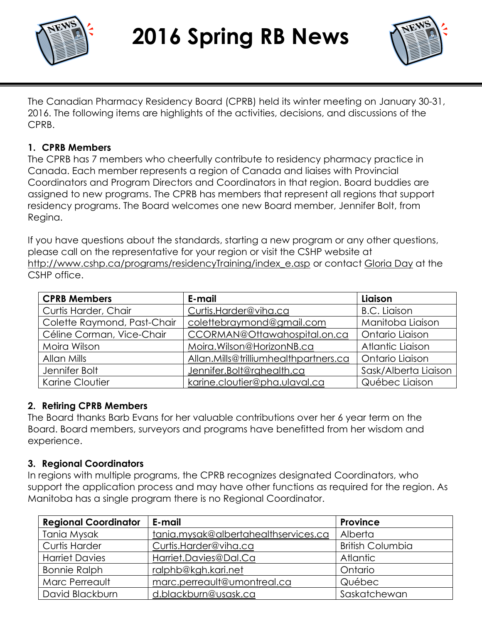



The Canadian Pharmacy Residency Board (CPRB) held its winter meeting on January 30-31, 2016. The following items are highlights of the activities, decisions, and discussions of the CPRB.

### **1. CPRB Members**

The CPRB has 7 members who cheerfully contribute to residency pharmacy practice in Canada. Each member represents a region of Canada and liaises with Provincial Coordinators and Program Directors and Coordinators in that region. Board buddies are assigned to new programs. The CPRB has members that represent all regions that support residency programs. The Board welcomes one new Board member, Jennifer Bolt, from Regina.

If you have questions about the standards, starting a new program or any other questions, please call on the representative for your region or visit the CSHP website at [http://www.cshp.ca/programs/residencyTraining/index\\_e.asp](http://www.cshp.ca/programs/residencyTraining/index_e.asp) or contact [Gloria Day](mailto:gday@cshp.ca) at the CSHP office.

| <b>CPRB Members</b>         | E-mail                                | Liaison              |
|-----------------------------|---------------------------------------|----------------------|
| Curtis Harder, Chair        | Curtis.Harder@viha.ca                 | <b>B.C.</b> Liaison  |
| Colette Raymond, Past-Chair | colettebraymond@gmail.com             | Manitoba Liaison     |
| Céline Corman, Vice-Chair   | CCORMAN@Ottawahospital.on.ca          | Ontario Liaison      |
| Moira Wilson                | Moira.Wilson@HorizonNB.ca             | Atlantic Liaison     |
| Allan Mills                 | Allan.Mills@trilliumhealthpartners.ca | Ontario Liaison      |
| Jennifer Bolt               | Jennifer.Bolt@rqhealth.ca             | Sask/Alberta Liaison |
| Karine Cloutier             | karine.cloutier@pha.ulaval.ca         | Québec Liaison       |

#### **2. Retiring CPRB Members**

The Board thanks Barb Evans for her valuable contributions over her 6 year term on the Board. Board members, surveyors and programs have benefitted from her wisdom and experience.

### **3. Regional Coordinators**

In regions with multiple programs, the CPRB recognizes designated Coordinators, who support the application process and may have other functions as required for the region. As Manitoba has a single program there is no Regional Coordinator.

| <b>Regional Coordinator</b> | E-mail                               | <b>Province</b>         |
|-----------------------------|--------------------------------------|-------------------------|
| Tania Mysak                 | tania.mysak@albertahealthservices.ca | Alberta                 |
| <b>Curtis Harder</b>        | Curtis.Harder@viha.ca                | <b>British Columbia</b> |
| <b>Harriet Davies</b>       | Harriet.Davies@Dal.Ca                | <b>Atlantic</b>         |
| <b>Bonnie Ralph</b>         | ralphb@kgh.kari.net                  | Ontario                 |
| Marc Perreault              | marc.perreault@umontreal.ca          | Québec                  |
| David Blackburn             | d.blackburn@usask.ca                 | Saskatchewan            |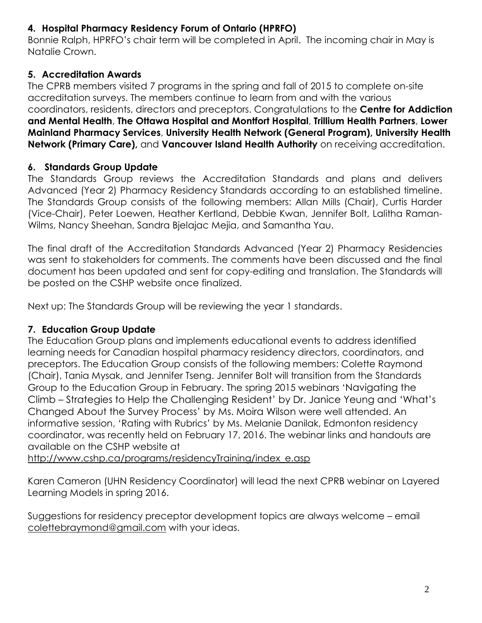# **4. Hospital Pharmacy Residency Forum of Ontario (HPRFO)**

Bonnie Ralph, HPRFO's chair term will be completed in April. The incoming chair in May is Natalie Crown.

# **5. Accreditation Awards**

The CPRB members visited 7 programs in the spring and fall of 2015 to complete on-site accreditation surveys. The members continue to learn from and with the various coordinators, residents, directors and preceptors. Congratulations to the **Centre for Addiction and Mental Health**, **The Ottawa Hospital and Montfort Hospital**, **Trillium Health Partners**, **Lower Mainland Pharmacy Services**, **University Health Network (General Program), University Health Network (Primary Care),** and **Vancouver Island Health Authority** on receiving accreditation.

# **6. Standards Group Update**

The Standards Group reviews the Accreditation Standards and plans and delivers Advanced (Year 2) Pharmacy Residency Standards according to an established timeline. The Standards Group consists of the following members: Allan Mills (Chair), Curtis Harder (Vice-Chair), Peter Loewen, Heather Kertland, Debbie Kwan, Jennifer Bolt, Lalitha Raman-Wilms, Nancy Sheehan, Sandra Bjelajac Mejia, and Samantha Yau.

The final draft of the Accreditation Standards Advanced (Year 2) Pharmacy Residencies was sent to stakeholders for comments. The comments have been discussed and the final document has been updated and sent for copy-editing and translation. The Standards will be posted on the CSHP website once finalized.

Next up: The Standards Group will be reviewing the year 1 standards.

# **7. Education Group Update**

The Education Group plans and implements educational events to address identified learning needs for Canadian hospital pharmacy residency directors, coordinators, and preceptors. The Education Group consists of the following members: Colette Raymond (Chair), Tania Mysak, and Jennifer Tseng. Jennifer Bolt will transition from the Standards Group to the Education Group in February. The spring 2015 webinars 'Navigating the Climb – Strategies to Help the Challenging Resident' by Dr. Janice Yeung and 'What's Changed About the Survey Process' by Ms. Moira Wilson were well attended. An informative session, 'Rating with Rubrics' by Ms. Melanie Danilak, Edmonton residency coordinator, was recently held on February 17, 2016. The webinar links and handouts are available on the CSHP website at

[http://www.cshp.ca/programs/residencyTraining/index\\_e.asp](http://www.cshp.ca/programs/residencyTraining/index_e.asp)

Karen Cameron (UHN Residency Coordinator) will lead the next CPRB webinar on Layered Learning Models in spring 2016.

Suggestions for residency preceptor development topics are always welcome – email [colettebraymond@gmail.com](mailto:colettebraymond@gmail.com) with your ideas.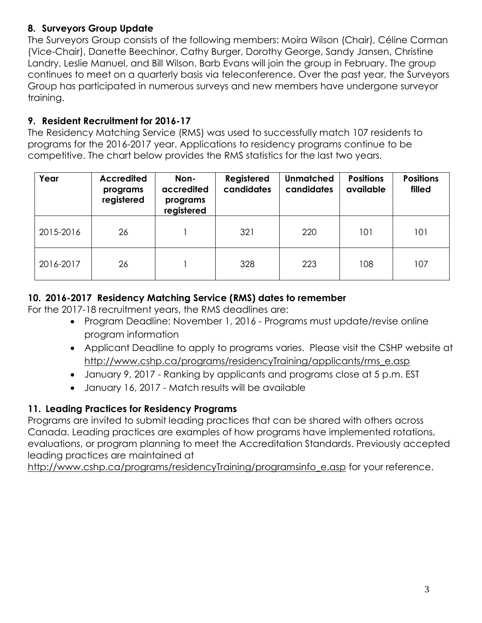# **8. Surveyors Group Update**

The Surveyors Group consists of the following members: Moira Wilson (Chair), Céline Corman (Vice-Chair), Danette Beechinor, Cathy Burger, Dorothy George, Sandy Jansen, Christine Landry, Leslie Manuel, and Bill Wilson. Barb Evans will join the group in February. The group continues to meet on a quarterly basis via teleconference. Over the past year, the Surveyors Group has participated in numerous surveys and new members have undergone surveyor training.

# **9. Resident Recruitment for 2016-17**

The Residency Matching Service (RMS) was used to successfully match 107 residents to programs for the 2016-2017 year. Applications to residency programs continue to be competitive. The chart below provides the RMS statistics for the last two years.

| Year      | <b>Accredited</b><br>programs<br>registered | Non-<br>accredited<br>programs<br>registered | Registered<br>candidates | <b>Unmatched</b><br>candidates | <b>Positions</b><br>available | <b>Positions</b><br>filled |
|-----------|---------------------------------------------|----------------------------------------------|--------------------------|--------------------------------|-------------------------------|----------------------------|
| 2015-2016 | 26                                          |                                              | 321                      | 220                            | 101                           | 101                        |
| 2016-2017 | 26                                          |                                              | 328                      | 223                            | 108                           | 107                        |

# **10. 2016-2017 Residency Matching Service (RMS) dates to remember**

For the 2017-18 recruitment years, the RMS deadlines are:

- Program Deadline: November 1, 2016 Programs must update/revise online program information
- Applicant Deadline to apply to programs varies. Please visit the CSHP website at [http://www.cshp.ca/programs/residencyTraining/applicants/rms\\_e.asp](http://www.cshp.ca/programs/residencyTraining/applicants/rms_e.asp)
- January 9, 2017 Ranking by applicants and programs close at 5 p.m. EST
- January 16, 2017 Match results will be available

# **11. Leading Practices for Residency Programs**

Programs are invited to submit leading practices that can be shared with others across Canada. Leading practices are examples of how programs have implemented rotations, evaluations, or program planning to meet the Accreditation Standards. Previously accepted leading practices are maintained at

[http://www.cshp.ca/programs/residencyTraining/programsinfo\\_e.asp](http://www.cshp.ca/programs/residencyTraining/programsinfo_e.asp) for your reference.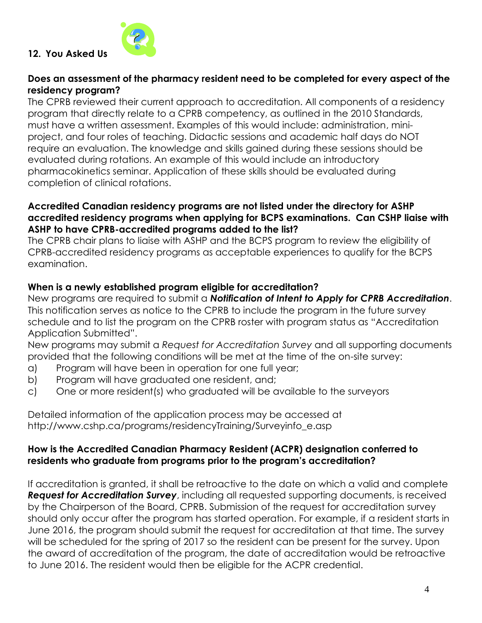

### **12. You Asked Us**

#### **Does an assessment of the pharmacy resident need to be completed for every aspect of the residency program?**

The CPRB reviewed their current approach to accreditation. All components of a residency program that directly relate to a CPRB competency, as outlined in the 2010 Standards, must have a written assessment. Examples of this would include: administration, miniproject, and four roles of teaching. Didactic sessions and academic half days do NOT require an evaluation. The knowledge and skills gained during these sessions should be evaluated during rotations. An example of this would include an introductory pharmacokinetics seminar. Application of these skills should be evaluated during completion of clinical rotations.

#### **Accredited Canadian residency programs are not listed under the directory for ASHP accredited residency programs when applying for BCPS examinations. Can CSHP liaise with ASHP to have CPRB-accredited programs added to the list?**

The CPRB chair plans to liaise with ASHP and the BCPS program to review the eligibility of CPRB-accredited residency programs as acceptable experiences to qualify for the BCPS examination.

#### **When is a newly established program eligible for accreditation?**

New programs are required to submit a *Notification of Intent to Apply for CPRB Accreditation*. This notification serves as notice to the CPRB to include the program in the future survey schedule and to list the program on the CPRB roster with program status as "Accreditation Application Submitted".

New programs may submit a *Request for Accreditation Survey* and all supporting documents provided that the following conditions will be met at the time of the on-site survey:

- a) Program will have been in operation for one full year;
- b) Program will have graduated one resident, and;
- c) One or more resident(s) who graduated will be available to the surveyors

Detailed information of the application process may be accessed at http://www.cshp.ca/programs/residencyTraining/Surveyinfo\_e.asp

#### **How is the Accredited Canadian Pharmacy Resident (ACPR) designation conferred to residents who graduate from programs prior to the program's accreditation?**

If accreditation is granted, it shall be retroactive to the date on which a valid and complete *Request for Accreditation Survey*, including all requested supporting documents, is received by the Chairperson of the Board, CPRB. Submission of the request for accreditation survey should only occur after the program has started operation. For example, if a resident starts in June 2016, the program should submit the request for accreditation at that time. The survey will be scheduled for the spring of 2017 so the resident can be present for the survey. Upon the award of accreditation of the program, the date of accreditation would be retroactive to June 2016. The resident would then be eligible for the ACPR credential.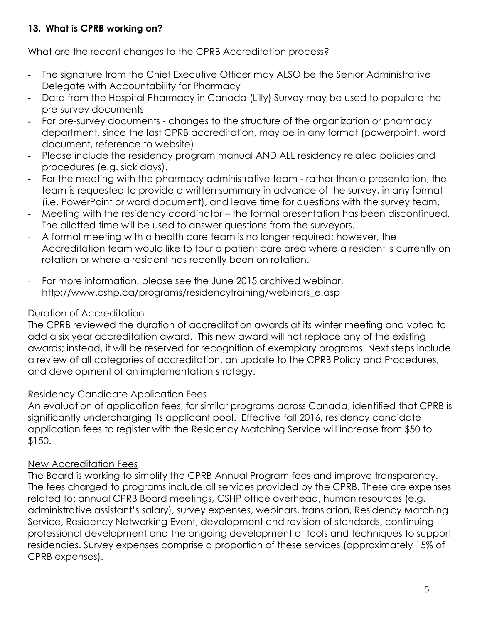# **13. What is CPRB working on?**

## What are the recent changes to the CPRB Accreditation process?

- The signature from the Chief Executive Officer may ALSO be the Senior Administrative Delegate with Accountability for Pharmacy
- Data from the Hospital Pharmacy in Canada (Lilly) Survey may be used to populate the pre-survey documents
- For pre-survey documents changes to the structure of the organization or pharmacy department, since the last CPRB accreditation, may be in any format (powerpoint, word document, reference to website)
- Please include the residency program manual AND ALL residency related policies and procedures (e.g. sick days).
- For the meeting with the pharmacy administrative team rather than a presentation, the team is requested to provide a written summary in advance of the survey, in any format (i.e. PowerPoint or word document), and leave time for questions with the survey team.
- Meeting with the residency coordinator the formal presentation has been discontinued. The allotted time will be used to answer questions from the surveyors.
- A formal meeting with a health care team is no longer required; however, the Accreditation team would like to tour a patient care area where a resident is currently on rotation or where a resident has recently been on rotation.
- For more information, please see the June 2015 archived webinar. [http://www.cshp.ca/programs/residencytraining/webinars\\_e.asp](http://www.cshp.ca/programs/residencytraining/webinars_e.asp)

# Duration of Accreditation

The CPRB reviewed the duration of accreditation awards at its winter meeting and voted to add a six year accreditation award. This new award will not replace any of the existing awards; instead, it will be reserved for recognition of exemplary programs. Next steps include a review of all categories of accreditation, an update to the CPRB Policy and Procedures, and development of an implementation strategy.

### Residency Candidate Application Fees

An evaluation of application fees, for similar programs across Canada, identified that CPRB is significantly undercharging its applicant pool. Effective fall 2016, residency candidate application fees to register with the Residency Matching Service will increase from \$50 to \$150.

### New Accreditation Fees

The Board is working to simplify the CPRB Annual Program fees and improve transparency. The fees charged to programs include all services provided by the CPRB. These are expenses related to: annual CPRB Board meetings, CSHP office overhead, human resources (e.g. administrative assistant's salary), survey expenses, webinars, translation, Residency Matching Service, Residency Networking Event, development and revision of standards, continuing professional development and the ongoing development of tools and techniques to support residencies. Survey expenses comprise a proportion of these services (approximately 15% of CPRB expenses).